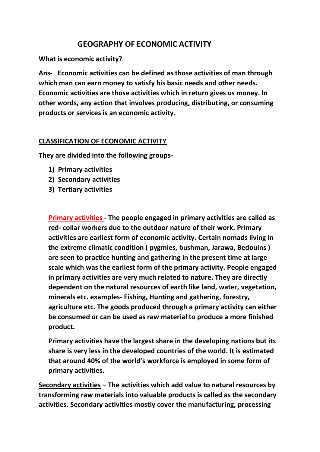## **GEOGRAPHY OF ECONOMIC ACTIVITY**

**What is economic activity?**

**Ans- Economic activities can be defined as those activities of man through which man can earn money to satisfy his basic needs and other needs. Economic activities are those activities which in return gives us money. In other words, any action that involves producing, distributing, or consuming products or services is an economic activity.**

## **CLASSIFICATION OF ECONOMIC ACTIVITY**

**They are divided into the following groups-**

- **1) Primary activities**
- **2) Secondary activities**
- **3) Tertiary activities**

**Primary activities - The people engaged in primary activities are called as red- collar workers due to the outdoor nature of their work. Primary activities are earliest form of economic activity. Certain nomads living in the extreme climatic condition ( pygmies, bushman, Jarawa, Bedouins ) are seen to practice hunting and gathering in the present time at large scale which was the earliest form of the primary activity. People engaged in primary activities are very much related to nature. They are directly dependent on the natural resources of earth like land, water, vegetation, minerals etc. examples- Fishing, Hunting and gathering, forestry, agriculture etc. The goods produced through a primary activity can either be consumed or can be used as raw material to produce a more finished product.**

**Primary activities have the largest share in the developing nations but its share is very less in the developed countries of the world. It is estimated that around 40% of the world's workforce is employed in some form of primary activities.**

**Secondary activities – The activities which add value to natural resources by transforming raw materials into valuable products is called as the secondary activities. Secondary activities mostly cover the manufacturing, processing**